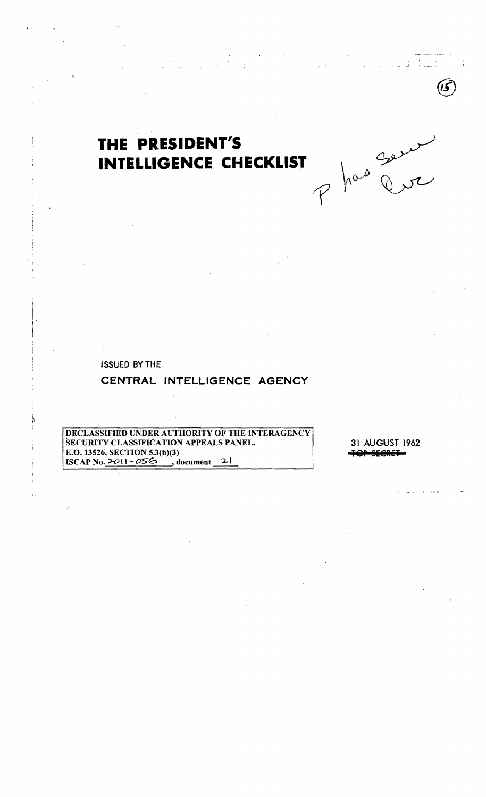# THE PRESIDENT'S INTELLIGENCE CHECKLIST

**ISSUED BY THE** 

# CENTRAL INTELLIGENCE AGENCY

DECLASSIFIED UNDER AUTHORITY OF THE INTERAGENCY SECURITY CLASSIFICATION APPEALS PANEL. E.O. 13526, SECTION 5.3(b)(3) ISCAP No. 2011-056, document 21

31 AUGUST 1962

has going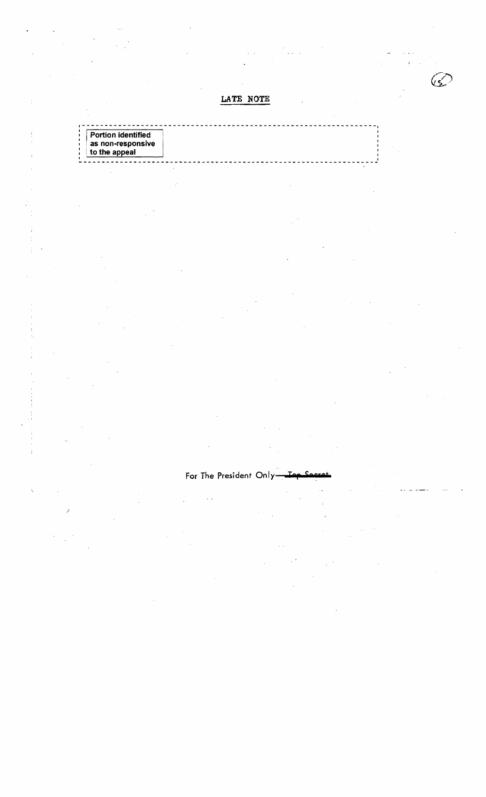LATE NOTE

يحيىيكا

| <b>Portion identified</b>    |  |  |  |
|------------------------------|--|--|--|
| $^{\circ}$ as non-responsive |  |  |  |
| to the appeal                |  |  |  |

# For The President Only-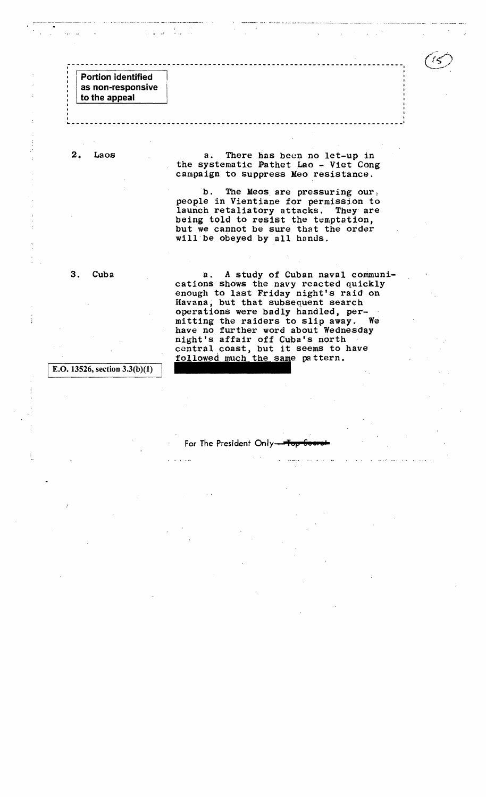$\frac{4}{\sqrt{2}}\left(\frac{3}{\sqrt{2}}\right)^{2}=\frac{4}{\sqrt{2}}\left(\frac{3}{\sqrt{2}}\right)^{2}$ 

I E.O. 13526, section 3.3(b)(1)

 $\frac{1}{3}$ 

For The President Only-

pa ttern.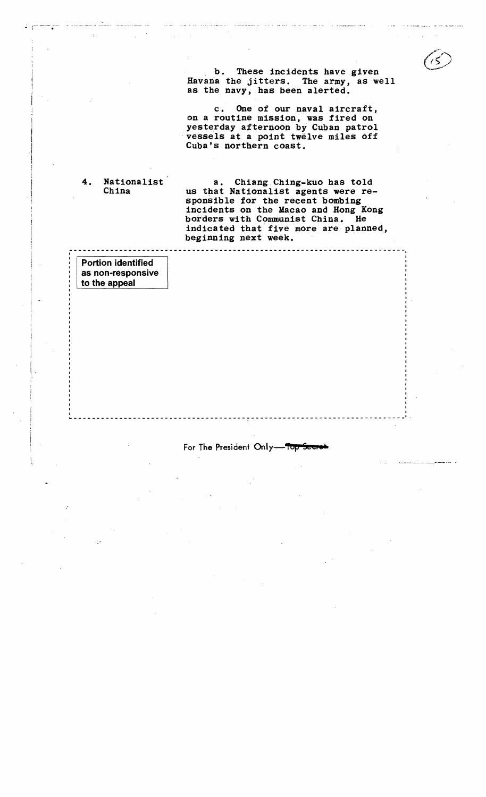b. These incidents have given Havana the jitters. The army, as well as the navy, has been alerted.

c. One of our naval aircraft, on a routine mission, was fired on yesterday afternoon by Cuban patrol vessels at a point twelve miles off Cuba's northern coast.

4. Nationalist a. Chiang Ching-kuo has told China us that Nationalist agents were re sponsible for the recent bombing incidents on the Macao and Hong Kong borders with Communist China. He indicated that five more are planned, beginning next week.

Portion identified as non-responsive to the appeal

I

I  $\vert \ \cdot$ 

#### For The President Only-Top

<u>. . . . . . . . . . . .</u>

~---------------------.-----------------~-----------------------------

-------------------------------------------------------------------------